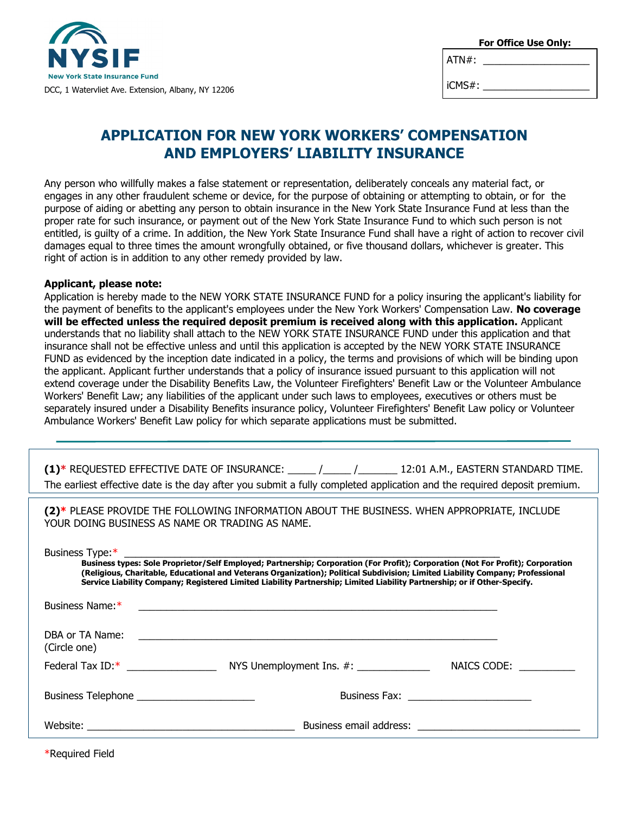

| For Office Use Only: |  |
|----------------------|--|
|----------------------|--|

 $ATN#$ :

iCMS#:

# **APPLICATION FOR NEW YORK WORKERS' COMPENSATION AND EMPLOYERS' LIABILITY INSURANCE**

Any person who willfully makes a false statement or representation, deliberately conceals any material fact, or engages in any other fraudulent scheme or device, for the purpose of obtaining or attempting to obtain, or for the purpose of aiding or abetting any person to obtain insurance in the New York State Insurance Fund at less than the proper rate for such insurance, or payment out of the New York State Insurance Fund to which such person is not entitled, is guilty of a crime. In addition, the New York State Insurance Fund shall have a right of action to recover civil damages equal to three times the amount wrongfully obtained, or five thousand dollars, whichever is greater. This right of action is in addition to any other remedy provided by law.

#### **Applicant, please note:**

Application is hereby made to the NEW YORK STATE INSURANCE FUND for a policy insuring the applicant's liability for the payment of benefits to the applicant's employees under the New York Workers' Compensation Law. **No coverage will be effected unless the required deposit premium is received along with this application.** Applicant understands that no liability shall attach to the NEW YORK STATE INSURANCE FUND under this application and that insurance shall not be effective unless and until this application is accepted by the NEW YORK STATE INSURANCE FUND as evidenced by the inception date indicated in a policy, the terms and provisions of which will be binding upon the applicant. Applicant further understands that a policy of insurance issued pursuant to this application will not extend coverage under the Disability Benefits Law, the Volunteer Firefighters' Benefit Law or the Volunteer Ambulance Workers' Benefit Law; any liabilities of the applicant under such laws to employees, executives or others must be separately insured under a Disability Benefits insurance policy, Volunteer Firefighters' Benefit Law policy or Volunteer Ambulance Workers' Benefit Law policy for which separate applications must be submitted.

|                                                 | (1)* REQUESTED EFFECTIVE DATE OF INSURANCE: _____ /_____ /______ 12:01 A.M., EASTERN STANDARD TIME.<br>The earliest effective date is the day after you submit a fully completed application and the required deposit premium.                                                                                                                                                                           |  |
|-------------------------------------------------|----------------------------------------------------------------------------------------------------------------------------------------------------------------------------------------------------------------------------------------------------------------------------------------------------------------------------------------------------------------------------------------------------------|--|
| YOUR DOING BUSINESS AS NAME OR TRADING AS NAME. | (2)* PLEASE PROVIDE THE FOLLOWING INFORMATION ABOUT THE BUSINESS. WHEN APPROPRIATE, INCLUDE                                                                                                                                                                                                                                                                                                              |  |
| Business Type:*                                 | S Type.<br>Business types: Sole Proprietor/Self Employed; Partnership; Corporation (For Profit); Corporation (Not For Profit); Corporation<br>(Religious, Charitable, Educational and Veterans Organization); Political Subdivision; Limited Liability Company; Professional<br>Service Liability Company; Registered Limited Liability Partnership; Limited Liability Partnership; or if Other-Specify. |  |
| Business Name:*                                 |                                                                                                                                                                                                                                                                                                                                                                                                          |  |
| DBA or TA Name:<br>(Circle one)                 |                                                                                                                                                                                                                                                                                                                                                                                                          |  |
|                                                 |                                                                                                                                                                                                                                                                                                                                                                                                          |  |
|                                                 |                                                                                                                                                                                                                                                                                                                                                                                                          |  |
|                                                 | Business email address: <b>Example 2018</b>                                                                                                                                                                                                                                                                                                                                                              |  |

\*Required Field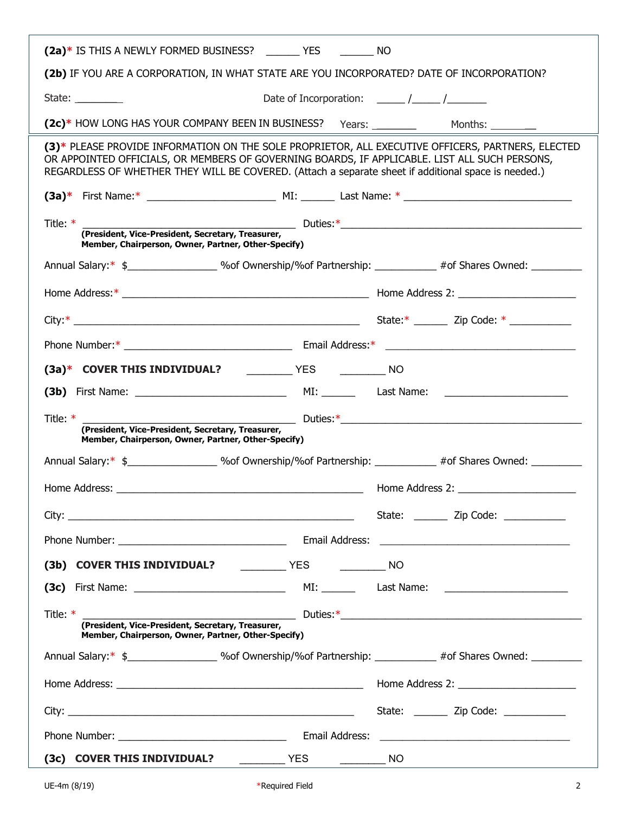| (2a)* IS THIS A NEWLY FORMED BUSINESS? ________ YES _________ NO                                                                                                                                                                                                                                           |                                     |
|------------------------------------------------------------------------------------------------------------------------------------------------------------------------------------------------------------------------------------------------------------------------------------------------------------|-------------------------------------|
| (2b) IF YOU ARE A CORPORATION, IN WHAT STATE ARE YOU INCORPORATED? DATE OF INCORPORATION?                                                                                                                                                                                                                  |                                     |
| State: __________                                                                                                                                                                                                                                                                                          |                                     |
|                                                                                                                                                                                                                                                                                                            |                                     |
| (3)* PLEASE PROVIDE INFORMATION ON THE SOLE PROPRIETOR, ALL EXECUTIVE OFFICERS, PARTNERS, ELECTED<br>OR APPOINTED OFFICIALS, OR MEMBERS OF GOVERNING BOARDS, IF APPLICABLE. LIST ALL SUCH PERSONS,<br>REGARDLESS OF WHETHER THEY WILL BE COVERED. (Attach a separate sheet if additional space is needed.) |                                     |
|                                                                                                                                                                                                                                                                                                            |                                     |
| Title: $*$<br>Member, Chairperson, Owner, Partner, Other-Specify)                                                                                                                                                                                                                                          |                                     |
| Annual Salary:* \$________________________% % 0wnership/% of Partnership: _____________ #of Shares Owned: ___________                                                                                                                                                                                      |                                     |
|                                                                                                                                                                                                                                                                                                            |                                     |
|                                                                                                                                                                                                                                                                                                            |                                     |
|                                                                                                                                                                                                                                                                                                            |                                     |
| (3a)* COVER THIS INDIVIDUAL? ____________ YES ____________ NO                                                                                                                                                                                                                                              |                                     |
|                                                                                                                                                                                                                                                                                                            |                                     |
| (President, Vice-President, Secretary, Treasurer,<br>Member, Chairmann Contractor Chairmann Contractor Chairmann Chairmann Chairmann Chairmann Chairmann Chairmann<br>Title: $*$<br>Member, Chairperson, Owner, Partner, Other-Specify)                                                                    |                                     |
| Annual Salary:* \$ ______________________ %of Ownership/%of Partnership: ___________ #of Shares Owned: _________                                                                                                                                                                                           |                                     |
|                                                                                                                                                                                                                                                                                                            |                                     |
|                                                                                                                                                                                                                                                                                                            |                                     |
|                                                                                                                                                                                                                                                                                                            | State: Zip Code:                    |
|                                                                                                                                                                                                                                                                                                            |                                     |
|                                                                                                                                                                                                                                                                                                            |                                     |
|                                                                                                                                                                                                                                                                                                            |                                     |
|                                                                                                                                                                                                                                                                                                            |                                     |
| Title: * Title: * Title: * Tresident, Vice-President, Secretary, Treasurer,<br>Member, Chairperson, Owner, Partner, Other-Specify)                                                                                                                                                                         |                                     |
| Annual Salary:* \$ ______________________ %of Ownership/%of Partnership: ___________ #of Shares Owned: _________                                                                                                                                                                                           |                                     |
|                                                                                                                                                                                                                                                                                                            |                                     |
|                                                                                                                                                                                                                                                                                                            | State: _______ Zip Code: __________ |
|                                                                                                                                                                                                                                                                                                            |                                     |

ź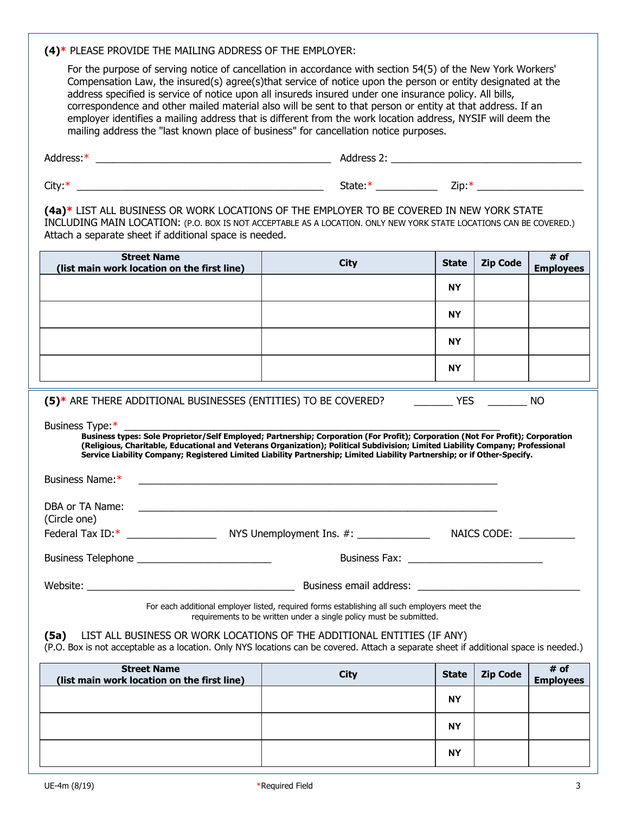## **(4)\*** PLEASE PROVIDE THE MAILING ADDRESS OF THE EMPLOYER:

For the purpose of serving notice of cancellation in accordance with section 54(5) of the New York Workers' Compensation Law, the insured(s) agree(s)that service of notice upon the person or entity designated at the address specified is service of notice upon all insureds insured under one insurance policy. All bills, correspondence and other mailed material also will be sent to that person or entity at that address. If an employer identifies a mailing address that is different from the work location address, NYSIF will deem the mailing address the "last known place of business" for cancellation notice purposes.

| Address:*                                                                                                           | Address 2: |      |
|---------------------------------------------------------------------------------------------------------------------|------------|------|
| City $*$                                                                                                            | State *    | Zip: |
| <u>is the case of secondary as diagonal and the associated and the angle and as a second adjoint of association</u> |            |      |

**(4a)\*** LIST ALL BUSINESS OR WORK LOCATIONS OF THE EMPLOYER TO BE COVERED IN NEW YORK STATE INCLUDING MAIN LOCATION: (P.O. BOX IS NOT ACCEPTABLE AS A LOCATION. ONLY NEW YORK STATE LOCATIONS CAN BE COVERED.) Attach a separate sheet if additional space is needed.

| <b>Street Name</b><br>(list main work location on the first line)                                                                                                                                                                                                                                                                                                                                                                   | <b>City</b>                                                                                                                                                         | <b>State</b> | <b>Zip Code</b> | # of<br><b>Employees</b> |
|-------------------------------------------------------------------------------------------------------------------------------------------------------------------------------------------------------------------------------------------------------------------------------------------------------------------------------------------------------------------------------------------------------------------------------------|---------------------------------------------------------------------------------------------------------------------------------------------------------------------|--------------|-----------------|--------------------------|
|                                                                                                                                                                                                                                                                                                                                                                                                                                     |                                                                                                                                                                     | <b>NY</b>    |                 |                          |
|                                                                                                                                                                                                                                                                                                                                                                                                                                     |                                                                                                                                                                     | <b>NY</b>    |                 |                          |
|                                                                                                                                                                                                                                                                                                                                                                                                                                     |                                                                                                                                                                     | <b>NY</b>    |                 |                          |
|                                                                                                                                                                                                                                                                                                                                                                                                                                     |                                                                                                                                                                     | <b>NY</b>    |                 |                          |
| (5)* ARE THERE ADDITIONAL BUSINESSES (ENTITIES) TO BE COVERED? THE THERE THERE ADDITIONAL BUSINESSES (ENTITIES) TO BE COVERED?                                                                                                                                                                                                                                                                                                      |                                                                                                                                                                     |              |                 |                          |
| Business Type:*<br>Business types: Sole Proprietor/Self Employed; Partnership; Corporation (For Profit); Corporation (Not For Profit); Corporation<br>(Religious, Charitable, Educational and Veterans Organization); Political Subdivision; Limited Liability Company; Professional<br>Service Liability Company; Registered Limited Liability Partnership; Limited Liability Partnership; or if Other-Specify.<br>Business Name:* | <u> 1989 - Johann Stoff, amerikansk politiker (d. 1989)</u>                                                                                                         |              |                 |                          |
| DBA or TA Name:<br>(Circle one)                                                                                                                                                                                                                                                                                                                                                                                                     | <u> Alexandria de la contrada de la contrada de la contrada de la contrada de la contrada de la contrada de la c</u>                                                |              |                 |                          |
| Federal Tax ID:* Note and MYS Unemployment Ins. #: NAICS CODE:                                                                                                                                                                                                                                                                                                                                                                      |                                                                                                                                                                     |              |                 |                          |
| Business Telephone _____________________________                                                                                                                                                                                                                                                                                                                                                                                    |                                                                                                                                                                     |              |                 |                          |
|                                                                                                                                                                                                                                                                                                                                                                                                                                     |                                                                                                                                                                     |              |                 |                          |
|                                                                                                                                                                                                                                                                                                                                                                                                                                     | For each additional employer listed, required forms establishing all such employers meet the<br>requirements to be written under a single policy must be submitted. |              |                 |                          |
| (5a) LIST ALL BUSINESS OR WORK LOCATIONS OF THE ADDITIONAL ENTITIES (IF ANY)<br>(P.O. Box is not acceptable as a location. Only NYS locations can be covered. Attach a separate sheet if additional space is needed.)                                                                                                                                                                                                               |                                                                                                                                                                     |              |                 |                          |

| <b>Street Name</b><br>(list main work location on the first line) | City | <b>State</b> | Zip Code | # of<br>Employees |
|-------------------------------------------------------------------|------|--------------|----------|-------------------|
|                                                                   |      | <b>NY</b>    |          |                   |
|                                                                   |      | <b>NY</b>    |          |                   |
|                                                                   |      | <b>NY</b>    |          |                   |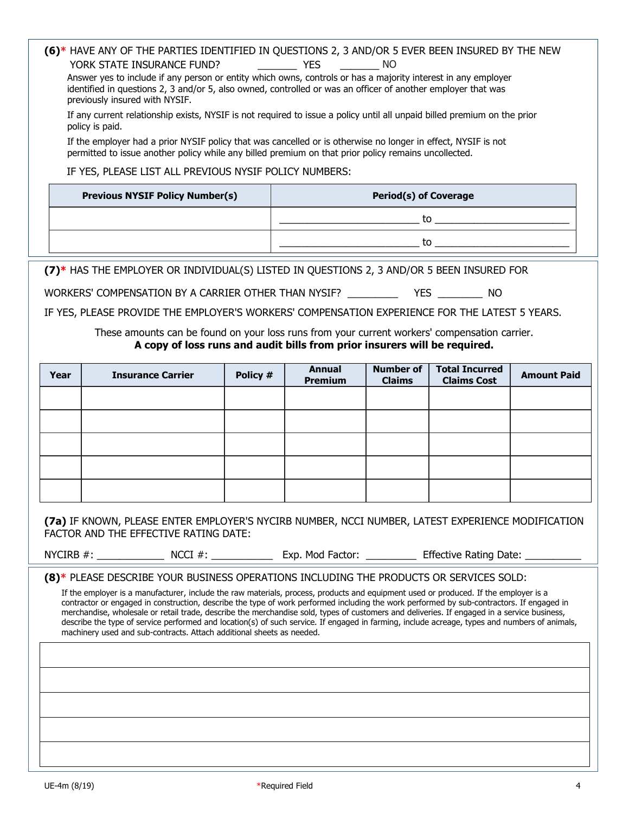# **(6)\*** HAVE ANY OF THE PARTIES IDENTIFIED IN QUESTIONS 2, 3 AND/OR 5 EVER BEEN INSURED BY THE NEW YORK STATE INSURANCE FUND? THE YES THE NO

Answer yes to include if any person or entity which owns, controls or has a majority interest in any employer identified in questions 2, 3 and/or 5, also owned, controlled or was an officer of another employer that was previously insured with NYSIF.

If any current relationship exists, NYSIF is not required to issue a policy until all unpaid billed premium on the prior policy is paid.

If the employer had a prior NYSIF policy that was cancelled or is otherwise no longer in effect, NYSIF is not permitted to issue another policy while any billed premium on that prior policy remains uncollected.

### IF YES, PLEASE LIST ALL PREVIOUS NYSIF POLICY NUMBERS:

| <b>Previous NYSIF Policy Number(s)</b> | <b>Period(s) of Coverage</b> |
|----------------------------------------|------------------------------|
|                                        |                              |
|                                        |                              |

**(7)\*** HAS THE EMPLOYER OR INDIVIDUAL(S) LISTED IN QUESTIONS 2, 3 AND/OR 5 BEEN INSURED FOR

WORKERS' COMPENSATION BY A CARRIER OTHER THAN NYSIF? THAN YES THE STATE ROOM AND THE STATE RESIDENCE.

IF YES, PLEASE PROVIDE THE EMPLOYER'S WORKERS' COMPENSATION EXPERIENCE FOR THE LATEST 5 YEARS.

### These amounts can be found on your loss runs from your current workers' compensation carrier. **A copy of loss runs and audit bills from prior insurers will be required.**

| Year | <b>Insurance Carrier</b> | Policy # | <b>Annual</b><br><b>Premium</b> | <b>Number of</b><br><b>Claims</b> | <b>Total Incurred</b><br><b>Claims Cost</b> | <b>Amount Paid</b> |
|------|--------------------------|----------|---------------------------------|-----------------------------------|---------------------------------------------|--------------------|
|      |                          |          |                                 |                                   |                                             |                    |
|      |                          |          |                                 |                                   |                                             |                    |
|      |                          |          |                                 |                                   |                                             |                    |
|      |                          |          |                                 |                                   |                                             |                    |
|      |                          |          |                                 |                                   |                                             |                    |

**(7a)** IF KNOWN, PLEASE ENTER EMPLOYER'S NYCIRB NUMBER, NCCI NUMBER, LATEST EXPERIENCE MODIFICATION FACTOR AND THE EFFECTIVE RATING DATE:

NYCIRB #:  $N$  NCCI #:  $\qquad \qquad$  Exp. Mod Factor:  $\qquad \qquad$  Effective Rating Date:

**(8)\*** PLEASE DESCRIBE YOUR BUSINESS OPERATIONS INCLUDING THE PRODUCTS OR SERVICES SOLD:

If the employer is a manufacturer, include the raw materials, process, products and equipment used or produced. If the employer is a contractor or engaged in construction, describe the type of work performed including the work performed by sub-contractors. If engaged in merchandise, wholesale or retail trade, describe the merchandise sold, types of customers and deliveries. If engaged in a service business, describe the type of service performed and location(s) of such service. If engaged in farming, include acreage, types and numbers of animals, machinery used and sub-contracts. Attach additional sheets as needed.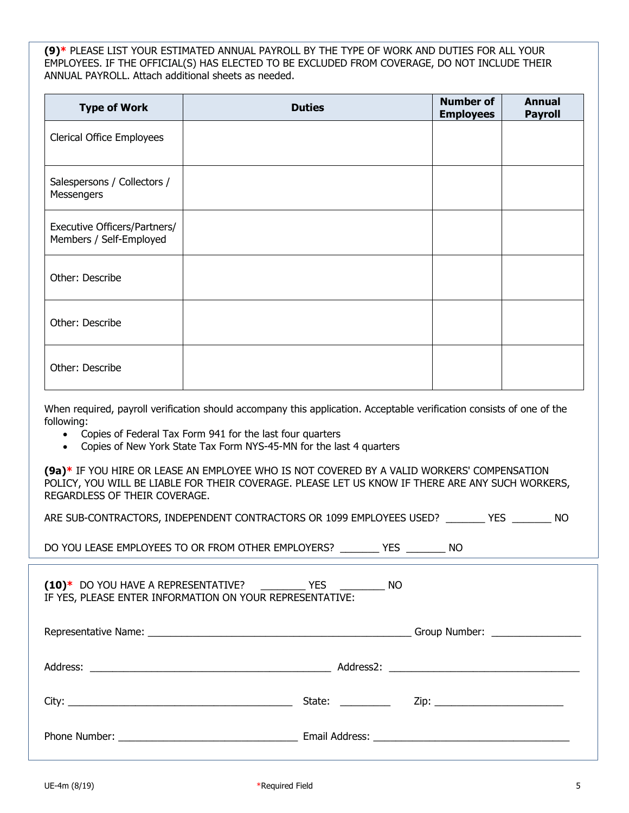**(9)\*** PLEASE LIST YOUR ESTIMATED ANNUAL PAYROLL BY THE TYPE OF WORK AND DUTIES FOR ALL YOUR EMPLOYEES. IF THE OFFICIAL(S) HAS ELECTED TO BE EXCLUDED FROM COVERAGE, DO NOT INCLUDE THEIR ANNUAL PAYROLL. Attach additional sheets as needed.

| <b>Type of Work</b>                                     | <b>Duties</b> | <b>Number of</b><br><b>Employees</b> | <b>Annual</b><br><b>Payroll</b> |
|---------------------------------------------------------|---------------|--------------------------------------|---------------------------------|
| <b>Clerical Office Employees</b>                        |               |                                      |                                 |
| Salespersons / Collectors /<br>Messengers               |               |                                      |                                 |
| Executive Officers/Partners/<br>Members / Self-Employed |               |                                      |                                 |
| Other: Describe                                         |               |                                      |                                 |
| Other: Describe                                         |               |                                      |                                 |
| Other: Describe                                         |               |                                      |                                 |

When required, payroll verification should accompany this application. Acceptable verification consists of one of the following:

- Copies of Federal Tax Form 941 for the last four quarters
- Copies of New York State Tax Form NYS-45-MN for the last 4 quarters

**(9a)\*** IF YOU HIRE OR LEASE AN EMPLOYEE WHO IS NOT COVERED BY A VALID WORKERS' COMPENSATION POLICY, YOU WILL BE LIABLE FOR THEIR COVERAGE. PLEASE LET US KNOW IF THERE ARE ANY SUCH WORKERS, REGARDLESS OF THEIR COVERAGE.

| ARE SUB-CONTRACTORS, INDEPENDENT CONTRACTORS OR 1099 EMPLOYEES USED? |  |  |  |  | <b>YES</b> | NO. |
|----------------------------------------------------------------------|--|--|--|--|------------|-----|
|----------------------------------------------------------------------|--|--|--|--|------------|-----|

DO YOU LEASE EMPLOYEES TO OR FROM OTHER EMPLOYERS? \_\_\_\_\_\_\_ YES \_\_\_\_\_\_\_ NO

| $(10)^*$ DO YOU HAVE A REPRESENTATIVE?<br><b>YES</b>     | NO. |
|----------------------------------------------------------|-----|
| IF YES, PLEASE ENTER INFORMATION ON YOUR REPRESENTATIVE: |     |

|                                                                                                                 | Group Number: ________________    |
|-----------------------------------------------------------------------------------------------------------------|-----------------------------------|
|                                                                                                                 |                                   |
| State: and the state of the state of the state of the state of the state of the state of the state of the state | Zip: ____________________________ |
|                                                                                                                 |                                   |